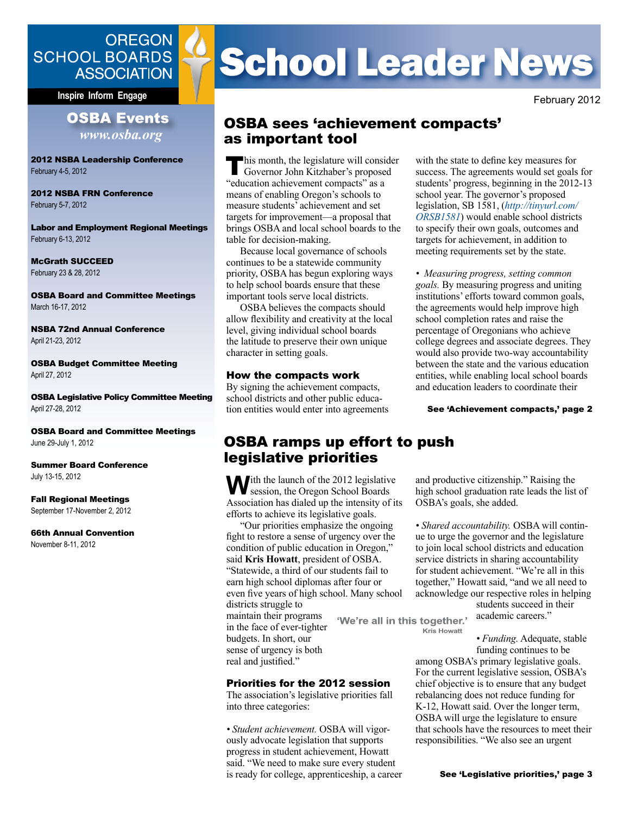## **OREGON SCHOOL BOARDS ASSOCIATION**

**Inspire Inform Engage And All Accords (All Accords 1998)** February 2012

#### **OSBA Events** *<www.osba.org>*

2012 NSBA Leadership Conference February 4-5, 2012

2012 NSBA FRN Conference February 5-7, 2012

Labor and Employment Regional Meetings February 6-13, 2012

McGrath SUCCEED February 23 & 28, 2012

OSBA Board and Committee Meetings March 16-17, 2012

NSBA 72nd Annual Conference April 21-23, 2012

OSBA Budget Committee Meeting April 27, 2012

OSBA Legislative Policy Committee Meeting April 27-28, 2012

OSBA Board and Committee Meetings June 29-July 1, 2012

Summer Board Conference July 13-15, 2012

Fall Regional Meetings September 17-November 2, 2012

66th Annual Convention November 8-11, 2012

# **School Leader News**

## OSBA sees 'achievement compacts' as important tool

**This month, the legislature will consider**<br>Governor John Kitzhaber's proposed "education achievement compacts" as a means of enabling Oregon's schools to measure students' achievement and set targets for improvement—a proposal that brings OSBA and local school boards to the table for decision-making.

Because local governance of schools continues to be a statewide community priority, OSBA has begun exploring ways to help school boards ensure that these important tools serve local districts.

OSBA believes the compacts should allow flexibility and creativity at the local level, giving individual school boards the latitude to preserve their own unique character in setting goals.

#### How the compacts work

By signing the achievement compacts, school districts and other public education entities would enter into agreements with the state to define key measures for success. The agreements would set goals for students' progress, beginning in the 2012-13 school year. The governor's proposed legislation, SB 1581, (*[http://tinyurl.com/](http://tinyurl.com/ORSB1581) [ORSB1581](http://tinyurl.com/ORSB1581)*) would enable school districts to specify their own goals, outcomes and targets for achievement, in addition to meeting requirements set by the state.

*• Measuring progress, setting common goals.* By measuring progress and uniting institutions' efforts toward common goals, the agreements would help improve high school completion rates and raise the percentage of Oregonians who achieve college degrees and associate degrees. They would also provide two-way accountability between the state and the various education entities, while enabling local school boards and education leaders to coordinate their

See 'Achievement compacts,' page 2

and productive citizenship." Raising the high school graduation rate leads the list of

*• Shared accountability.* OSBA will continue to urge the governor and the legislature to join local school districts and education service districts in sharing accountability for student achievement. "We're all in this together," Howatt said, "and we all need to acknowledge our respective roles in helping

OSBA's goals, she added.

## OSBA ramps up effort to push legislative priorities

With the launch of the 2012 legislative<br>
session, the Oregon School Boards<br>
Application has dislated the intensity of it Association has dialed up the intensity of its efforts to achieve its legislative goals.

"Our priorities emphasize the ongoing fight to restore a sense of urgency over the condition of public education in Oregon," said **Kris Howatt**, president of OSBA. "Statewide, a third of our students fail to earn high school diplomas after four or even five years of high school. Many school districts struggle to maintain their programs in the face of ever-tighter

Priorities for the 2012 session The association's legislative priorities fall

*• Student achievement.* OSBA will vigorously advocate legislation that supports progress in student achievement, Howatt said. "We need to make sure every student is ready for college, apprenticeship, a career

budgets. In short, our sense of urgency is both real and justified."

into three categories:

'We're all in this together.'

**Kris Howatt** 

*• Funding.* Adequate, stable funding continues to be

students succeed in their academic careers."

among OSBA's primary legislative goals. For the current legislative session, OSBA's chief objective is to ensure that any budget rebalancing does not reduce funding for K-12, Howatt said. Over the longer term, OSBA will urge the legislature to ensure that schools have the resources to meet their responsibilities. "We also see an urgent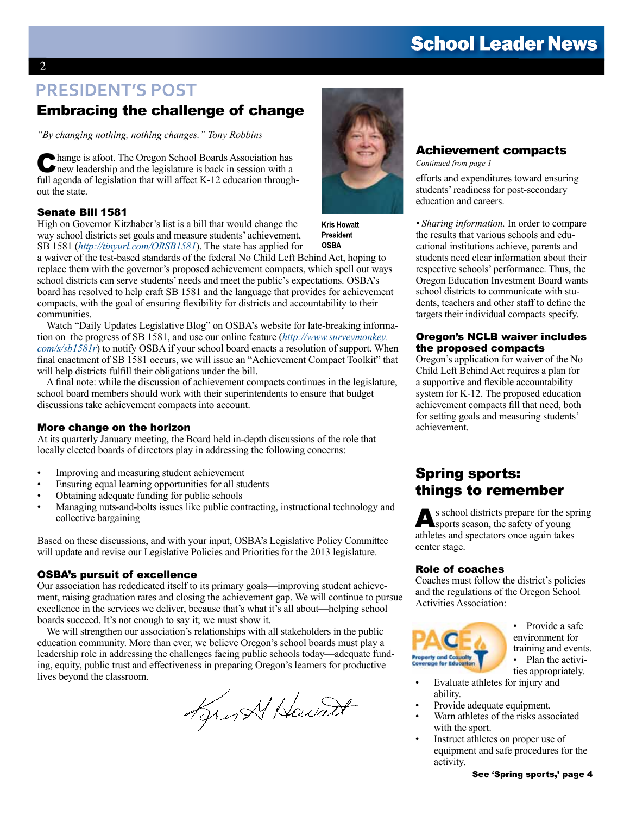# **School Leader News**

# **PRESIDENT'S POST**

## Embracing the challenge of change

*"By changing nothing, nothing changes." Tony Robbins*

Change is afoot. The Oregon School Boards Association has new leadership and the legislature is back in session with a full agenda of legislation that will affect K-12 education throughout the state.

#### Senate Bill 1581

High on Governor Kitzhaber's list is a bill that would change the way school districts set goals and measure students' achievement, SB 1581 (*<http://tinyurl.com/ORSB1581>*). The state has applied for

a waiver of the test-based standards of the federal No Child Left Behind Act, hoping to replace them with the governor's proposed achievement compacts, which spell out ways school districts can serve students' needs and meet the public's expectations. OSBA's board has resolved to help craft SB 1581 and the language that provides for achievement compacts, with the goal of ensuring flexibility for districts and accountability to their communities.

Watch "Daily Updates Legislative Blog" on OSBA's website for late-breaking information on the progress of SB 1581, and use our online feature (*[http://www.surveymonkey.](http://www.surveymonkey.com/s/sb1581r) [com/s/sb1581r](http://www.surveymonkey.com/s/sb1581r)*) to notify OSBA if your school board enacts a resolution of support. When final enactment of SB 1581 occurs, we will issue an "Achievement Compact Toolkit" that will help districts fulfill their obligations under the bill.

A final note: while the discussion of achievement compacts continues in the legislature, school board members should work with their superintendents to ensure that budget discussions take achievement compacts into account.

#### More change on the horizon

At its quarterly January meeting, the Board held in-depth discussions of the role that locally elected boards of directors play in addressing the following concerns:

- Improving and measuring student achievement
- Ensuring equal learning opportunities for all students
- Obtaining adequate funding for public schools
- Managing nuts-and-bolts issues like public contracting, instructional technology and collective bargaining

Based on these discussions, and with your input, OSBA's Legislative Policy Committee will update and revise our Legislative Policies and Priorities for the 2013 legislature.

#### OSBA's pursuit of excellence

Our association has rededicated itself to its primary goals—improving student achievement, raising graduation rates and closing the achievement gap. We will continue to pursue excellence in the services we deliver, because that's what it's all about—helping school boards succeed. It's not enough to say it; we must show it.

We will strengthen our association's relationships with all stakeholders in the public education community. More than ever, we believe Oregon's school boards must play a leadership role in addressing the challenges facing public schools today—adequate funding, equity, public trust and effectiveness in preparing Oregon's learners for productive lives beyond the classroom.

Lyrn Al Howard



**Kris Howatt President OSBA** 

Achievement compacts

*Continued from page 1*

efforts and expenditures toward ensuring students' readiness for post-secondary education and careers.

*• Sharing information.* In order to compare the results that various schools and educational institutions achieve, parents and students need clear information about their respective schools' performance. Thus, the Oregon Education Investment Board wants school districts to communicate with students, teachers and other staff to define the targets their individual compacts specify.

#### Oregon's NCLB waiver includes the proposed compacts

Oregon's application for waiver of the No Child Left Behind Act requires a plan for a supportive and flexible accountability system for K-12. The proposed education achievement compacts fill that need, both for setting goals and measuring students' achievement.

## Spring sports: things to remember

As school districts prepare for the spring sports season, the safety of young athletes and spectators once again takes center stage.

#### Role of coaches

Coaches must follow the district's policies and the regulations of the Oregon School Activities Association:



<sup>•</sup> Provide a safe environment for

- training and events. • Plan the activities appropriately.
- Evaluate athletes for injury and ability.
- Provide adequate equipment.
- Warn athletes of the risks associated with the sport.
- Instruct athletes on proper use of equipment and safe procedures for the activity.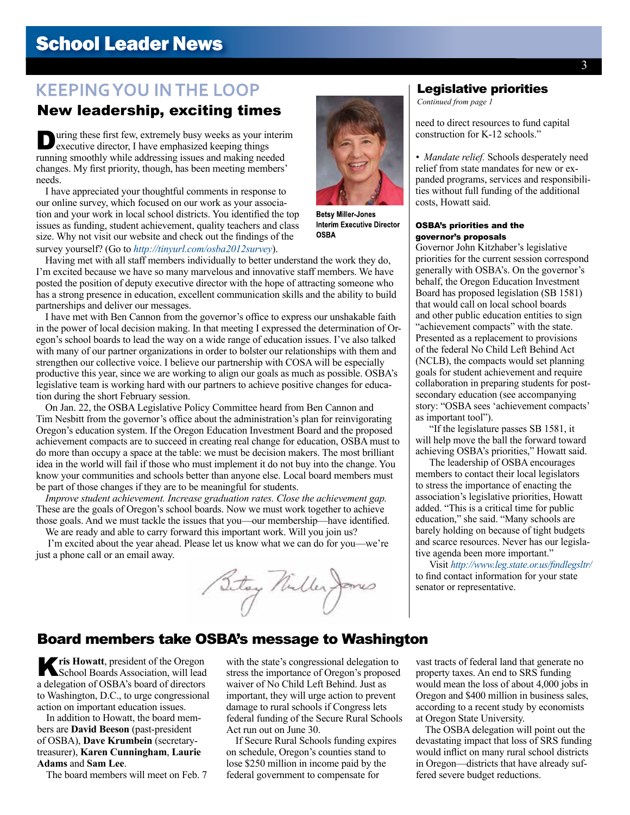# **School Leader News**

## **KEEPING YOU IN THE LOOP**

## New leadership, exciting times

**During these first few, extremely busy weeks as your interim executive director, I have emphasized keeping things** running smoothly while addressing issues and making needed changes. My first priority, though, has been meeting members' needs.

I have appreciated your thoughtful comments in response to our online survey, which focused on our work as your association and your work in local school districts. You identified the top issues as funding, student achievement, quality teachers and class size. Why not visit our website and check out the findings of the survey yourself? (Go to *<http://tinyurl.com/osba2012survey>*).

Having met with all staff members individually to better understand the work they do, I'm excited because we have so many marvelous and innovative staff members. We have posted the position of deputy executive director with the hope of attracting someone who has a strong presence in education, excellent communication skills and the ability to build partnerships and deliver our messages.

I have met with Ben Cannon from the governor's office to express our unshakable faith in the power of local decision making. In that meeting I expressed the determination of Oregon's school boards to lead the way on a wide range of education issues. I've also talked with many of our partner organizations in order to bolster our relationships with them and strengthen our collective voice. I believe our partnership with COSA will be especially productive this year, since we are working to align our goals as much as possible. OSBA's legislative team is working hard with our partners to achieve positive changes for education during the short February session.

On Jan. 22, the OSBA Legislative Policy Committee heard from Ben Cannon and Tim Nesbitt from the governor's office about the administration's plan for reinvigorating Oregon's education system. If the Oregon Education Investment Board and the proposed achievement compacts are to succeed in creating real change for education, OSBA must to do more than occupy a space at the table: we must be decision makers. The most brilliant idea in the world will fail if those who must implement it do not buy into the change. You know your communities and schools better than anyone else. Local board members must be part of those changes if they are to be meaningful for students.

*Improve student achievement. Increase graduation rates. Close the achievement gap.* These are the goals of Oregon's school boards. Now we must work together to achieve those goals. And we must tackle the issues that you—our membership—have identified.

We are ready and able to carry forward this important work. Will you join us? I'm excited about the year ahead. Please let us know what we can do for you—we're just a phone call or an email away.

Sitay Nuller James



*Continued from page 1*

need to direct resources to fund capital construction for K-12 schools."

*• Mandate relief.* Schools desperately need relief from state mandates for new or expanded programs, services and responsibilities without full funding of the additional costs, Howatt said.

#### OSBA's priorities and the governor's proposals

Governor John Kitzhaber's legislative priorities for the current session correspond generally with OSBA's. On the governor's behalf, the Oregon Education Investment Board has proposed legislation (SB 1581) that would call on local school boards and other public education entities to sign "achievement compacts" with the state. Presented as a replacement to provisions of the federal No Child Left Behind Act (NCLB), the compacts would set planning goals for student achievement and require collaboration in preparing students for postsecondary education (see accompanying story: "OSBA sees 'achievement compacts' as important tool").

"If the legislature passes SB 1581, it will help move the ball the forward toward achieving OSBA's priorities," Howatt said.

The leadership of OSBA encourages members to contact their local legislators to stress the importance of enacting the association's legislative priorities, Howatt added. "This is a critical time for public education," she said. "Many schools are barely holding on because of tight budgets and scarce resources. Never has our legislative agenda been more important."

Visit *[http://www.leg.state.or.us/findlegsltr/](http://www.leg.state.or.us/findlegsltr)* to find contact information for your state senator or representative.

### Board members take OSBA's message to Washington

**Kris Howatt**, president of the Oregon School Boards Association, will lead a delegation of OSBA's board of directors to Washington, D.C., to urge congressional action on important education issues.

In addition to Howatt, the board members are **David Beeson** (past-president of OSBA), **Dave Krumbein** (secretarytreasurer), **Karen Cunningham**, **Laurie Adams** and **Sam Lee**.

The board members will meet on Feb. 7

with the state's congressional delegation to stress the importance of Oregon's proposed waiver of No Child Left Behind. Just as important, they will urge action to prevent damage to rural schools if Congress lets federal funding of the Secure Rural Schools Act run out on June 30.

If Secure Rural Schools funding expires on schedule, Oregon's counties stand to lose \$250 million in income paid by the federal government to compensate for

vast tracts of federal land that generate no property taxes. An end to SRS funding would mean the loss of about 4,000 jobs in Oregon and \$400 million in business sales, according to a recent study by economists at Oregon State University.

The OSBA delegation will point out the devastating impact that loss of SRS funding would inflict on many rural school districts in Oregon—districts that have already suffered severe budget reductions.

**Betsy Miller-Jones Interim Executive Director OSBA**